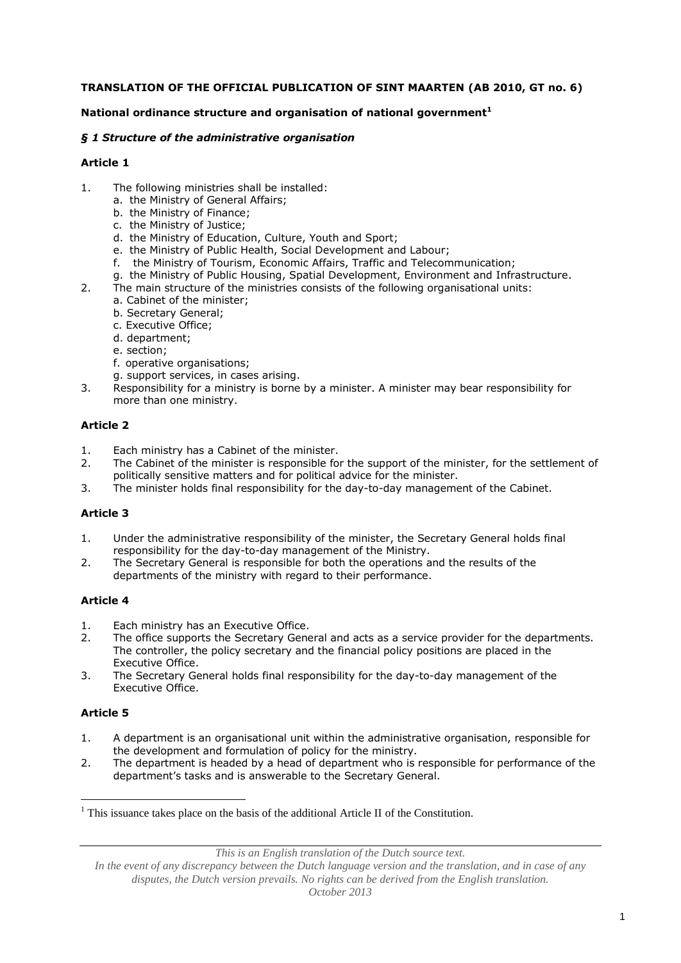# **TRANSLATION OF THE OFFICIAL PUBLICATION OF SINT MAARTEN (AB 2010, GT no. 6)**

#### **National ordinance structure and organisation of national government<sup>1</sup>**

#### *§ 1 Structure of the administrative organisation*

#### **Article 1**

- 1. The following ministries shall be installed:
	- a. the Ministry of General Affairs;
	- b. the Ministry of Finance;
	- c. the Ministry of Justice;
	- d. the Ministry of Education, Culture, Youth and Sport;
	- e. the Ministry of Public Health, Social Development and Labour;
	- f. the Ministry of Tourism, Economic Affairs, Traffic and Telecommunication;
	- g. the Ministry of Public Housing, Spatial Development, Environment and Infrastructure.
- 2. The main structure of the ministries consists of the following organisational units:
	- a. Cabinet of the minister;
	- b. Secretary General;
	- c. Executive Office;
	- d. department;
	- e. section;
	- f. operative organisations;
	- g. support services, in cases arising.
- 3. Responsibility for a ministry is borne by a minister. A minister may bear responsibility for more than one ministry.

#### **Article 2**

- 1. Each ministry has a Cabinet of the minister.
- 2. The Cabinet of the minister is responsible for the support of the minister, for the settlement of politically sensitive matters and for political advice for the minister.
- 3. The minister holds final responsibility for the day-to-day management of the Cabinet.

# **Article 3**

- 1. Under the administrative responsibility of the minister, the Secretary General holds final responsibility for the day-to-day management of the Ministry.
- 2. The Secretary General is responsible for both the operations and the results of the departments of the ministry with regard to their performance.

#### **Article 4**

- 1. Each ministry has an Executive Office.
- 2. The office supports the Secretary General and acts as a service provider for the departments. The controller, the policy secretary and the financial policy positions are placed in the Executive Office.
- 3. The Secretary General holds final responsibility for the day-to-day management of the Executive Office.

# **Article 5**

1

- 1. A department is an organisational unit within the administrative organisation, responsible for the development and formulation of policy for the ministry.
- 2. The department is headed by a head of department who is responsible for performance of the department's tasks and is answerable to the Secretary General.

*This is an English translation of the Dutch source text.*

 $<sup>1</sup>$  This issuance takes place on the basis of the additional Article II of the Constitution.</sup>

*In the event of any discrepancy between the Dutch language version and the translation, and in case of any disputes, the Dutch version prevails. No rights can be derived from the English translation. October 2013*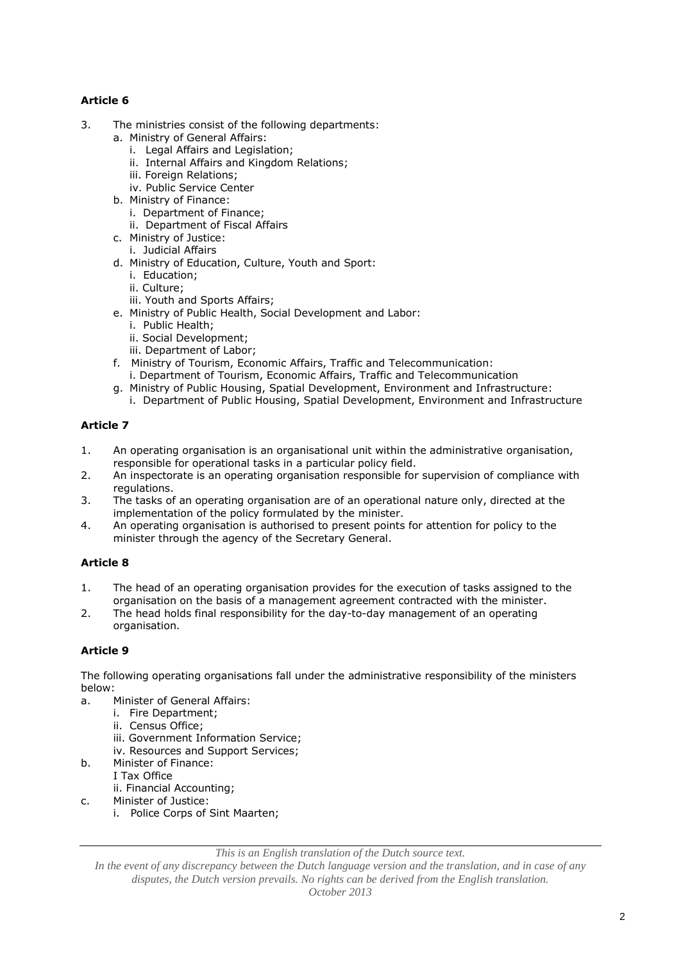# **Article 6**

- 3. The ministries consist of the following departments:
	- a. Ministry of General Affairs:
		- i. Legal Affairs and Legislation;
		- ii. Internal Affairs and Kingdom Relations;
		- iii. Foreign Relations;
		- iv. Public Service Center
	- b. Ministry of Finance:
		- i. Department of Finance;
		- ii. Department of Fiscal Affairs
	- c. Ministry of Justice:
	- i. Judicial Affairs
	- d. Ministry of Education, Culture, Youth and Sport:
		- i. Education;
		- ii. Culture;
		- iii. Youth and Sports Affairs;
	- e. Ministry of Public Health, Social Development and Labor:
		- i. Public Health;
		- ii. Social Development;
		- iii. Department of Labor;
	- f. Ministry of Tourism, Economic Affairs, Traffic and Telecommunication: i. Department of Tourism, Economic Affairs, Traffic and Telecommunication
	- g. Ministry of Public Housing, Spatial Development, Environment and Infrastructure:
		- i. Department of Public Housing, Spatial Development, Environment and Infrastructure

# **Article 7**

- 1. An operating organisation is an organisational unit within the administrative organisation, responsible for operational tasks in a particular policy field.
- 2. An inspectorate is an operating organisation responsible for supervision of compliance with regulations.
- 3. The tasks of an operating organisation are of an operational nature only, directed at the implementation of the policy formulated by the minister.
- 4. An operating organisation is authorised to present points for attention for policy to the minister through the agency of the Secretary General.

# **Article 8**

- 1. The head of an operating organisation provides for the execution of tasks assigned to the organisation on the basis of a management agreement contracted with the minister.
- 2. The head holds final responsibility for the day-to-day management of an operating organisation.

# **Article 9**

The following operating organisations fall under the administrative responsibility of the ministers below:

- a. Minister of General Affairs:
	- i. Fire Department;
		- ii. Census Office;
		- iii. Government Information Service;
		- iv. Resources and Support Services;
- b. Minister of Finance:
- I Tax Office ii. Financial Accounting;
- c. Minister of Justice:
	- i. Police Corps of Sint Maarten;

*This is an English translation of the Dutch source text.*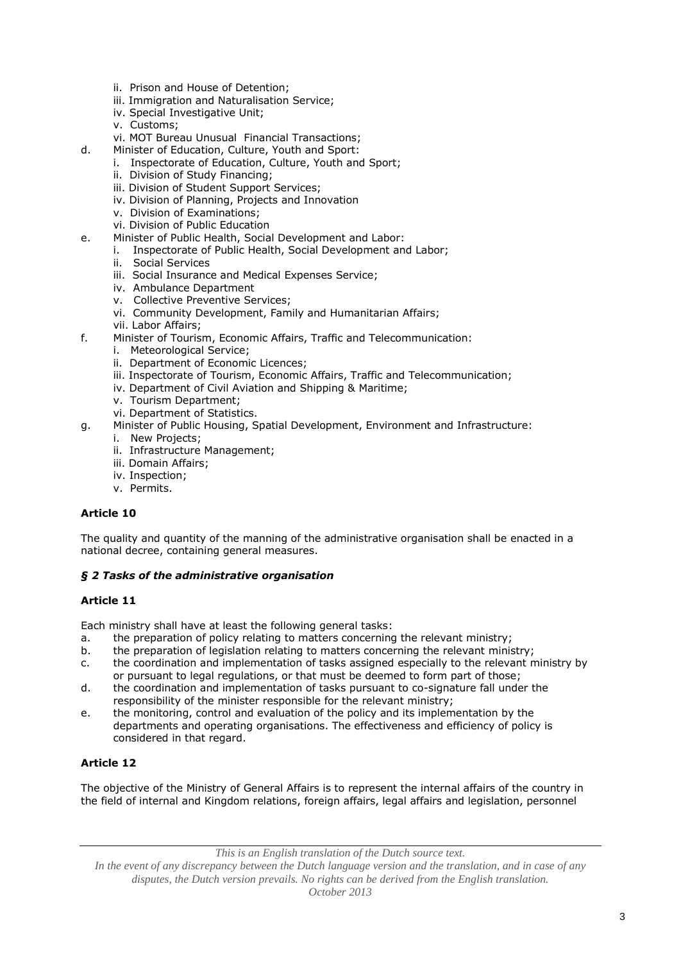- ii. Prison and House of Detention;
- iii. Immigration and Naturalisation Service;
- iv. Special Investigative Unit;
- v. Customs;
- vi. MOT Bureau Unusual Financial Transactions;
- d. Minister of Education, Culture, Youth and Sport:
	- i. Inspectorate of Education, Culture, Youth and Sport;
	- ii. Division of Study Financing;
	- iii. Division of Student Support Services;
	- iv. Division of Planning, Projects and Innovation
	- v. Division of Examinations;
	- vi. Division of Public Education
- e. Minister of Public Health, Social Development and Labor:
	- i. Inspectorate of Public Health, Social Development and Labor;
	- ii. Social Services
	- iii. Social Insurance and Medical Expenses Service;
	- iv. Ambulance Department
	- v. Collective Preventive Services;
	- vi. Community Development, Family and Humanitarian Affairs;
	- vii. Labor Affairs;
- f. Minister of Tourism, Economic Affairs, Traffic and Telecommunication:
	- i. Meteorological Service;
	- ii. Department of Economic Licences;
	- iii. Inspectorate of Tourism, Economic Affairs, Traffic and Telecommunication;
	- iv. Department of Civil Aviation and Shipping & Maritime;
	- v. Tourism Department;
	- vi. Department of Statistics.
- g. Minister of Public Housing, Spatial Development, Environment and Infrastructure:
	- i. New Projects;
	- ii. Infrastructure Management;
	- iii. Domain Affairs;
	- iv. Inspection;
	- v. Permits.

# **Article 10**

The quality and quantity of the manning of the administrative organisation shall be enacted in a national decree, containing general measures.

# *§ 2 Tasks of the administrative organisation*

# **Article 11**

Each ministry shall have at least the following general tasks:

- a. the preparation of policy relating to matters concerning the relevant ministry;
- b. the preparation of legislation relating to matters concerning the relevant ministry;
- c. the coordination and implementation of tasks assigned especially to the relevant ministry by or pursuant to legal regulations, or that must be deemed to form part of those;
- d. the coordination and implementation of tasks pursuant to co-signature fall under the responsibility of the minister responsible for the relevant ministry;
- e. the monitoring, control and evaluation of the policy and its implementation by the departments and operating organisations. The effectiveness and efficiency of policy is considered in that regard.

# **Article 12**

The objective of the Ministry of General Affairs is to represent the internal affairs of the country in the field of internal and Kingdom relations, foreign affairs, legal affairs and legislation, personnel

*This is an English translation of the Dutch source text.*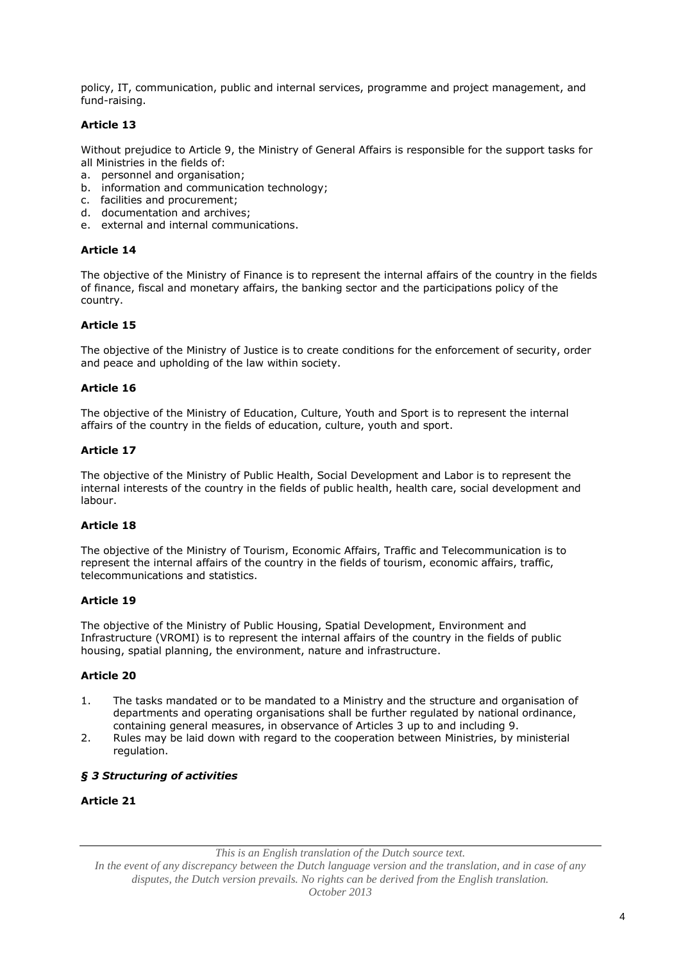policy, IT, communication, public and internal services, programme and project management, and fund-raising.

# **Article 13**

Without prejudice to Article 9, the Ministry of General Affairs is responsible for the support tasks for all Ministries in the fields of:

- a. personnel and organisation;
- b. information and communication technology;
- c. facilities and procurement;
- d. documentation and archives;
- e. external and internal communications.

# **Article 14**

The objective of the Ministry of Finance is to represent the internal affairs of the country in the fields of finance, fiscal and monetary affairs, the banking sector and the participations policy of the country.

#### **Article 15**

The objective of the Ministry of Justice is to create conditions for the enforcement of security, order and peace and upholding of the law within society.

# **Article 16**

The objective of the Ministry of Education, Culture, Youth and Sport is to represent the internal affairs of the country in the fields of education, culture, youth and sport.

# **Article 17**

The objective of the Ministry of Public Health, Social Development and Labor is to represent the internal interests of the country in the fields of public health, health care, social development and labour.

# **Article 18**

The objective of the Ministry of Tourism, Economic Affairs, Traffic and Telecommunication is to represent the internal affairs of the country in the fields of tourism, economic affairs, traffic, telecommunications and statistics.

#### **Article 19**

The objective of the Ministry of Public Housing, Spatial Development, Environment and Infrastructure (VROMI) is to represent the internal affairs of the country in the fields of public housing, spatial planning, the environment, nature and infrastructure.

# **Article 20**

- 1. The tasks mandated or to be mandated to a Ministry and the structure and organisation of departments and operating organisations shall be further regulated by national ordinance, containing general measures, in observance of Articles 3 up to and including 9.
- 2. Rules may be laid down with regard to the cooperation between Ministries, by ministerial regulation.

# *§ 3 Structuring of activities*

# **Article 21**

*This is an English translation of the Dutch source text.*